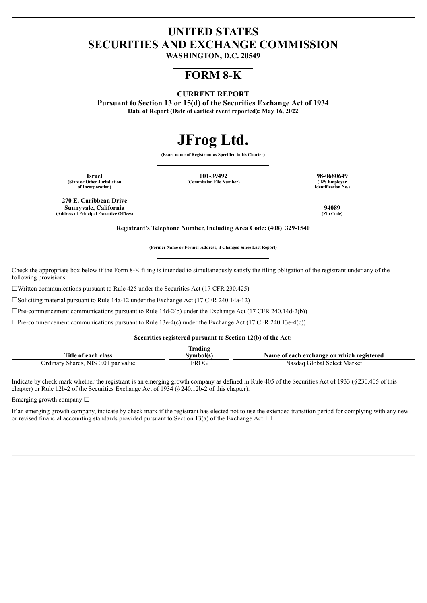## **UNITED STATES SECURITIES AND EXCHANGE COMMISSION**

**WASHINGTON, D.C. 20549**

## **FORM 8-K**

### **CURRENT REPORT**

**Pursuant to Section 13 or 15(d) of the Securities Exchange Act of 1934 Date of Report (Date of earliest event reported): May 16, 2022**

# **JFrog Ltd.**

**(Exact name of Registrant as Specified in Its Charter)**

**(State or Other Jurisdiction of Incorporation)**

**Israel 001-39492 98-0680649**  $(Commission File Number)$ 

**Identification No.)**

**270 E. Caribbean Drive Sunnyvale, California 94089 (Address of Principal Executive Offices) (Zip Code)**

**Registrant's Telephone Number, Including Area Code: (408) 329-1540**

**(Former Name or Former Address, if Changed Since Last Report)**

Check the appropriate box below if the Form 8-K filing is intended to simultaneously satisfy the filing obligation of the registrant under any of the following provisions:

☐Written communications pursuant to Rule 425 under the Securities Act (17 CFR 230.425)

☐Soliciting material pursuant to Rule 14a-12 under the Exchange Act (17 CFR 240.14a-12)

 $\Box$ Pre-commencement communications pursuant to Rule 14d-2(b) under the Exchange Act (17 CFR 240.14d-2(b))

 $\Box$ Pre-commencement communications pursuant to Rule 13e-4(c) under the Exchange Act (17 CFR 240.13e-4(c))

#### **Securities registered pursuant to Section 12(b) of the Act:**

| Trading                             |           |                                           |  |
|-------------------------------------|-----------|-------------------------------------------|--|
| Title of each class                 | 3vmbol(s) | Name of each exchange on which registered |  |
| Ordinary Shares, NIS 0.01 par value | FROG      | Nasdag Global Select Market               |  |

Indicate by check mark whether the registrant is an emerging growth company as defined in Rule 405 of the Securities Act of 1933 (§230.405 of this chapter) or Rule 12b-2 of the Securities Exchange Act of 1934 (§240.12b-2 of this chapter).

Emerging growth company  $\Box$ 

If an emerging growth company, indicate by check mark if the registrant has elected not to use the extended transition period for complying with any new or revised financial accounting standards provided pursuant to Section 13(a) of the Exchange Act.  $\Box$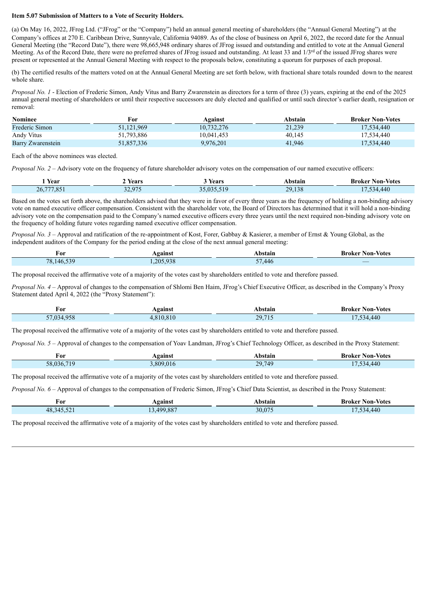#### **Item 5.07 Submission of Matters to a Vote of Security Holders.**

(a) On May 16, 2022, JFrog Ltd. ("JFrog" or the "Company") held an annual general meeting of shareholders (the "Annual General Meeting") at the Company's offices at 270 E. Caribbean Drive, Sunnyvale, California 94089. As of the close of business on April 6, 2022, the record date for the Annual General Meeting (the "Record Date"), there were 98,665,948 ordinary shares of JFrog issued and outstanding and entitled to vote at the Annual General Meeting. As of the Record Date, there were no preferred shares of JFrog issued and outstanding. At least 33 and 1/3<sup>rd</sup> of the issued JFrog shares were present or represented at the Annual General Meeting with respect to the proposals below, constituting a quorum for purposes of each proposal.

(b) The certified results of the matters voted on at the Annual General Meeting are set forth below, with fractional share totals rounded down to the nearest whole share.

*Proposal No. 1* - Election of Frederic Simon, Andy Vitus and Barry Zwarenstein as directors for a term of three (3) years, expiring at the end of the 2025 annual general meeting of shareholders or until their respective successors are duly elected and qualified or until such director's earlier death, resignation or removal:

| <b>Nominee</b>    | For        | Against    | Abstain | <b>Broker Non-Votes</b> |
|-------------------|------------|------------|---------|-------------------------|
| Frederic Simon    | 51,121,969 | 10,732,276 | 21,239  | 17.534.440              |
| Andy Vitus        | 51,793,886 | 10.041.453 | 40,145  | 17.534.440              |
| Barry Zwarenstein | 51,857,336 | 9,976,201  | 41.946  | 17.534.440              |

Each of the above nominees was elected.

*Proposal No. 2* – Advisory vote on the frequency of future shareholder advisory votes on the compensation of our named executive officers:

| l Year                 | Years                  | Years             | Abstair           | Non-<br>-Votes<br>Broker |
|------------------------|------------------------|-------------------|-------------------|--------------------------|
| .7770C<br>26,<br>1,03. | 32.074<br>ر د سال<br>. | $\sim$ 0.0 $\sim$ | 29<br>120<br>.158 | $\Delta A$               |

Based on the votes set forth above, the shareholders advised that they were in favor of every three years as the frequency of holding a non-binding advisory vote on named executive officer compensation. Consistent with the shareholder vote, the Board of Directors has determined that it will hold a non-binding advisory vote on the compensation paid to the Company's named executive officers every three years until the next required non-binding advisory vote on the frequency of holding future votes regarding named executive officer compensation.

*Proposal No. 3* – Approval and ratification of the re-appointment of Kost, Forer, Gabbay & Kasierer, a member of Ernst & Young Global, as the independent auditors of the Company for the period ending at the close of the next annual general meeting:

| For              | <b>gainst</b> | <b>Abstain</b>                     | <b>Non-Votes</b><br>Broker |
|------------------|---------------|------------------------------------|----------------------------|
| 539<br>78<br>146 | 205.938       | $\overline{r}$<br>446<br><u>JI</u> | ___                        |

The proposal received the affirmative vote of a majority of the votes cast by shareholders entitled to vote and therefore passed.

*Proposal No. 4* – Approval of changes to the compensation of Shlomi Ben Haim, JFrog's Chief Executive Officer, as described in the Company's Proxy Statement dated April 4, 2022 (the "Proxy Statement"):

| For        | Against   | Abstain | <b>Broker Non-Votes</b> |
|------------|-----------|---------|-------------------------|
| 57,034,958 | 4.810.810 | 29,715  | 7,534,440               |

The proposal received the affirmative vote of a majority of the votes cast by shareholders entitled to vote and therefore passed.

*Proposal No. 5* – Approval of changes to the compensation of Yoav Landman, JFrog's Chief Technology Officer, as described in the Proxy Statement:

| For            | gainst   | hstain                                                                              | <b>Non-Votes</b><br>Kroker |
|----------------|----------|-------------------------------------------------------------------------------------|----------------------------|
| 710<br>58,036. | .809.016 | 749<br>$20^{\circ}$<br>$\sim$ $\sim$ $\sim$ $\sim$ $\sim$<br><b>Service Service</b> | 440<br>$\sim$              |

The proposal received the affirmative vote of a majority of the votes cast by shareholders entitled to vote and therefore passed.

*Proposal No. 6* – Approval of changes to the compensation of Frederic Simon, JFrog's Chief Data Scientist, as described in the Proxy Statement:

| For        | gainst   | <b>bstain</b> | <b>Broker Non-Votes</b> |
|------------|----------|---------------|-------------------------|
| 48,345,52' | .499.887 | 30,075        | .440<br>34              |

The proposal received the affirmative vote of a majority of the votes cast by shareholders entitled to vote and therefore passed.